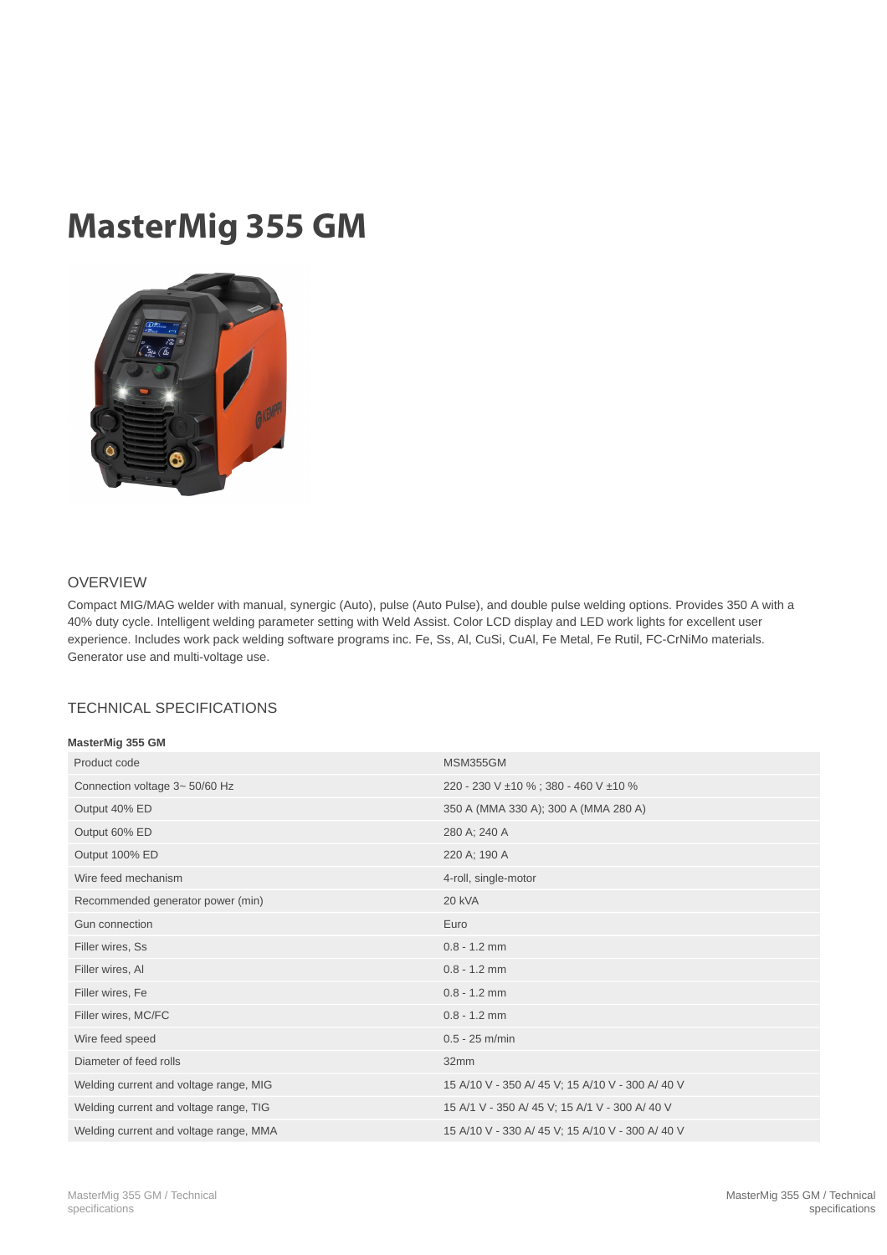## MasterMig 355 GM



## OVERVIEW

Compact MIG/MAG welder with manual, synergic (Auto), pulse (Auto Pulse), and double pulse welding options. Provides 350 A with a 40% duty cycle. Intelligent welding parameter setting with Weld Assist. Color LCD display and LED work lights for excellent user experience. Includes work pack welding software programs inc. Fe, Ss, Al, CuSi, CuAl, Fe Metal, Fe Rutil, FC-CrNiMo materials. Generator use and multi-voltage use.

## TECHNICAL SPECIFICATIONS

| MasterMig 355 GM                       |                                                  |
|----------------------------------------|--------------------------------------------------|
| Product code                           | MSM355GM                                         |
| Connection voltage 3~ 50/60 Hz         | 220 - 230 V ±10 %; 380 - 460 V ±10 %             |
| Output 40% ED                          | 350 A (MMA 330 A); 300 A (MMA 280 A)             |
| Output 60% ED                          | 280 A; 240 A                                     |
| Output 100% ED                         | 220 A; 190 A                                     |
| Wire feed mechanism                    | 4-roll, single-motor                             |
| Recommended generator power (min)      | <b>20 kVA</b>                                    |
| Gun connection                         | Euro                                             |
| Filler wires, Ss                       | $0.8 - 1.2$ mm                                   |
| Filler wires, Al                       | $0.8 - 1.2$ mm                                   |
| Filler wires, Fe                       | $0.8 - 1.2$ mm                                   |
| Filler wires, MC/FC                    | $0.8 - 1.2$ mm                                   |
| Wire feed speed                        | $0.5 - 25$ m/min                                 |
| Diameter of feed rolls                 | 32mm                                             |
| Welding current and voltage range, MIG | 15 A/10 V - 350 A/ 45 V; 15 A/10 V - 300 A/ 40 V |
| Welding current and voltage range, TIG | 15 A/1 V - 350 A/ 45 V; 15 A/1 V - 300 A/ 40 V   |
| Welding current and voltage range, MMA | 15 A/10 V - 330 A/ 45 V; 15 A/10 V - 300 A/ 40 V |